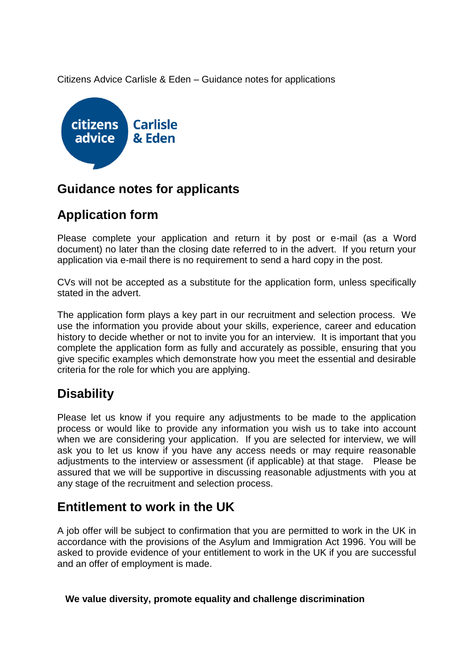Citizens Advice Carlisle & Eden – Guidance notes for applications



#### **Guidance notes for applicants**

# **Application form**

Please complete your application and return it by post or e-mail (as a Word document) no later than the closing date referred to in the advert. If you return your application via e-mail there is no requirement to send a hard copy in the post.

CVs will not be accepted as a substitute for the application form, unless specifically stated in the advert.

The application form plays a key part in our recruitment and selection process. We use the information you provide about your skills, experience, career and education history to decide whether or not to invite you for an interview. It is important that you complete the application form as fully and accurately as possible, ensuring that you give specific examples which demonstrate how you meet the essential and desirable criteria for the role for which you are applying.

# **Disability**

Please let us know if you require any adjustments to be made to the application process or would like to provide any information you wish us to take into account when we are considering your application. If you are selected for interview, we will ask you to let us know if you have any access needs or may require reasonable adjustments to the interview or assessment (if applicable) at that stage. Please be assured that we will be supportive in discussing reasonable adjustments with you at any stage of the recruitment and selection process.

#### **Entitlement to work in the UK**

A job offer will be subject to confirmation that you are permitted to work in the UK in accordance with the provisions of the Asylum and Immigration Act 1996. You will be asked to provide evidence of your entitlement to work in the UK if you are successful and an offer of employment is made.

**We value diversity, promote equality and challenge discrimination**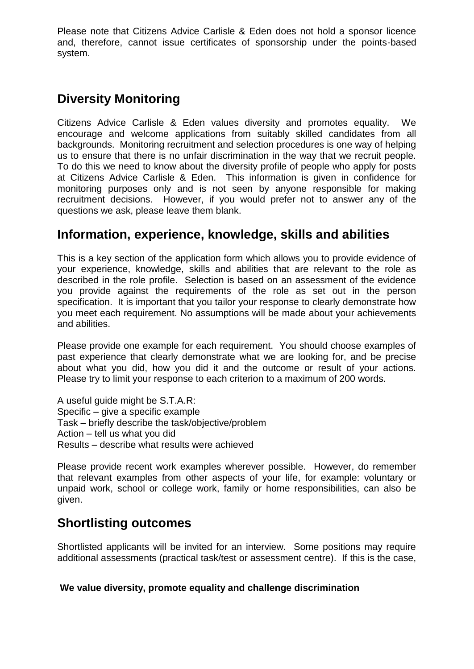Please note that Citizens Advice Carlisle & Eden does not hold a sponsor licence and, therefore, cannot issue certificates of sponsorship under the points-based system.

# **Diversity Monitoring**

Citizens Advice Carlisle & Eden values diversity and promotes equality. We encourage and welcome applications from suitably skilled candidates from all backgrounds. Monitoring recruitment and selection procedures is one way of helping us to ensure that there is no unfair discrimination in the way that we recruit people. To do this we need to know about the diversity profile of people who apply for posts at Citizens Advice Carlisle & Eden. This information is given in confidence for monitoring purposes only and is not seen by anyone responsible for making recruitment decisions. However, if you would prefer not to answer any of the questions we ask, please leave them blank.

#### **Information, experience, knowledge, skills and abilities**

This is a key section of the application form which allows you to provide evidence of your experience, knowledge, skills and abilities that are relevant to the role as described in the role profile. Selection is based on an assessment of the evidence you provide against the requirements of the role as set out in the person specification. It is important that you tailor your response to clearly demonstrate how you meet each requirement. No assumptions will be made about your achievements and abilities.

Please provide one example for each requirement. You should choose examples of past experience that clearly demonstrate what we are looking for, and be precise about what you did, how you did it and the outcome or result of your actions. Please try to limit your response to each criterion to a maximum of 200 words.

A useful guide might be S.T.A.R: Specific – give a specific example Task – briefly describe the task/objective/problem Action – tell us what you did Results – describe what results were achieved

Please provide recent work examples wherever possible. However, do remember that relevant examples from other aspects of your life, for example: voluntary or unpaid work, school or college work, family or home responsibilities, can also be given.

# **Shortlisting outcomes**

Shortlisted applicants will be invited for an interview. Some positions may require additional assessments (practical task/test or assessment centre). If this is the case,

#### **We value diversity, promote equality and challenge discrimination**